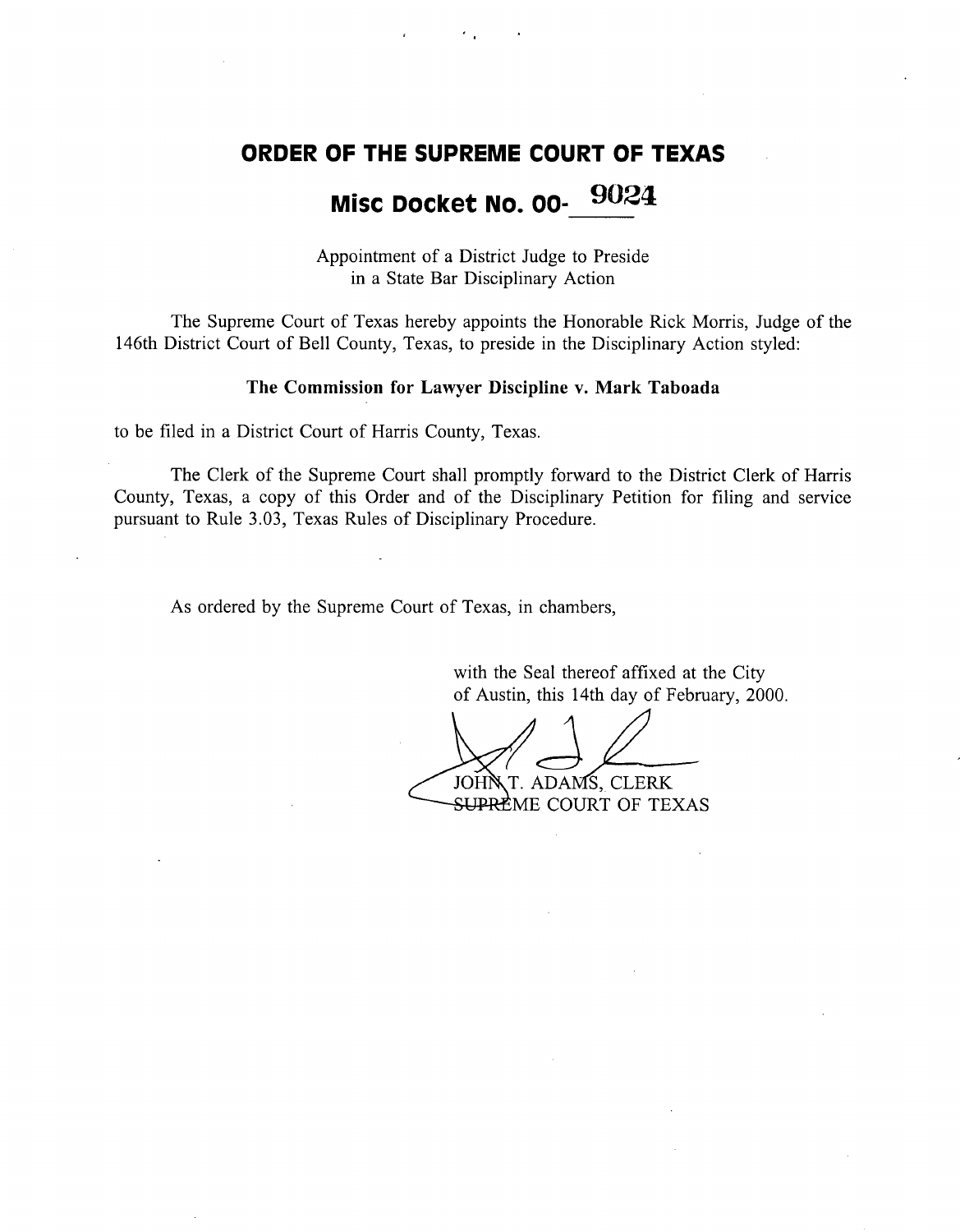### **ORDER OF THE SUPREME** COURT OF TEXAS

# **Misc Docket** No. 00- 9024

Appointment of a District Judge to Preside in a State Bar Disciplinary Action

The Supreme Court of Texas hereby appoints the Honorable Rick Morris, Judge of the 146th District Court of Bell County, Texas, to preside in the Disciplinary Action styled:

#### The Commission for Lawyer Discipline v. Mark Taboada

to be filed in a District Court of Harris County, Texas.

The Clerk of the Supreme Court shall promptly forward to the District Clerk of Harris County, Texas, a copy of this Order and of the Disciplinary Petition for filing and service pursuant to Rule 3.03, Texas Rules of Disciplinary Procedure.

As ordered by the Supreme Court of Texas, in chambers,

with the Seal thereof affixed at the City of Austin, this 14th day of February, 2000.

T. ADAMS, CLERK JOHN <del>SUPRE</del>ME COURT OF TEXAS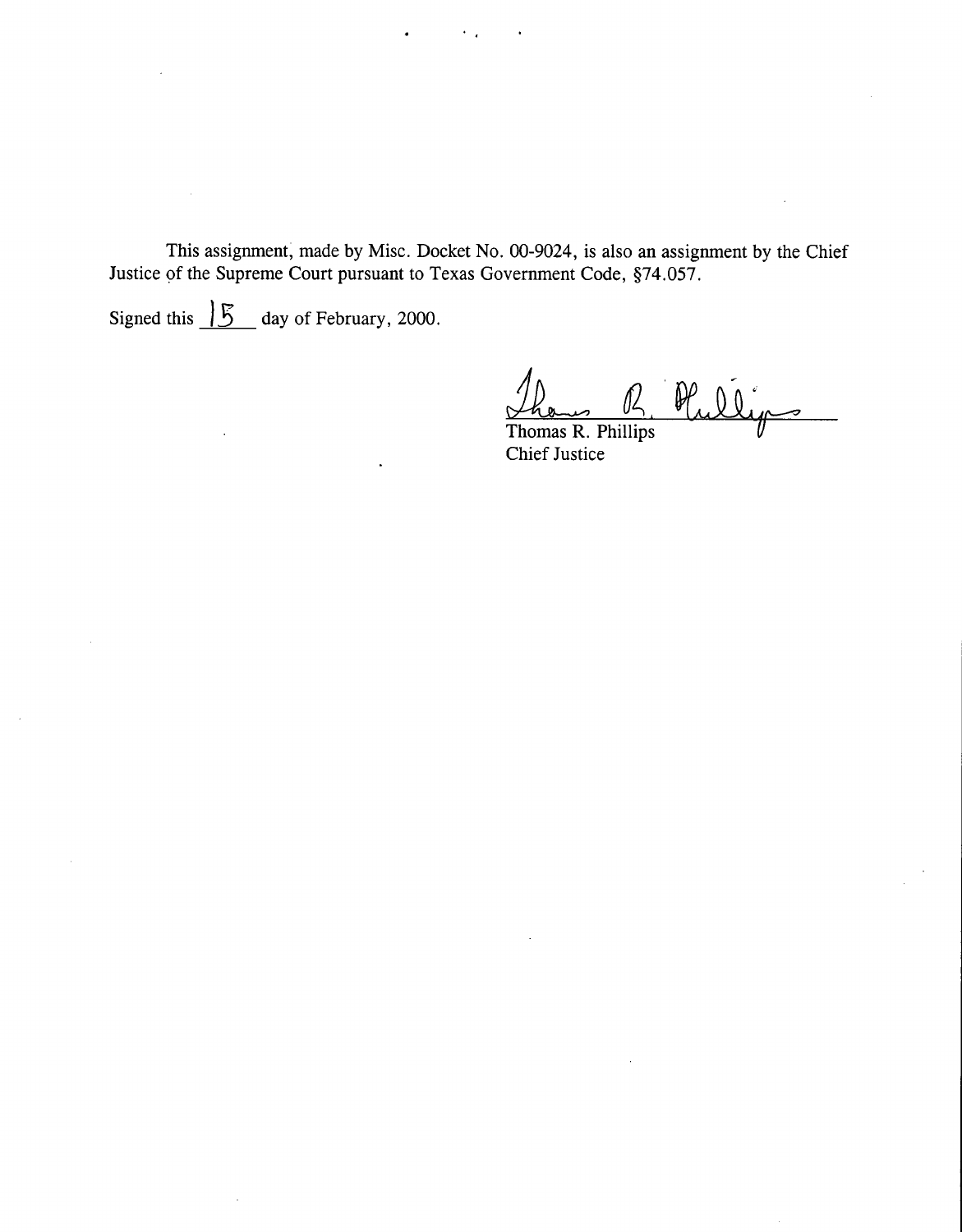**This assignment,** made by Misc. Docket No. 00-9024, is **also an assignment** by the Chief **Justice of the Supreme Court pursuant to Texas Government** Code, §74.057.

Signed this  $\frac{15}{5}$  day of February, 2000.

 $\mathbb{P}_{\alpha}$ 

Thomas R. Phillips Chief Justice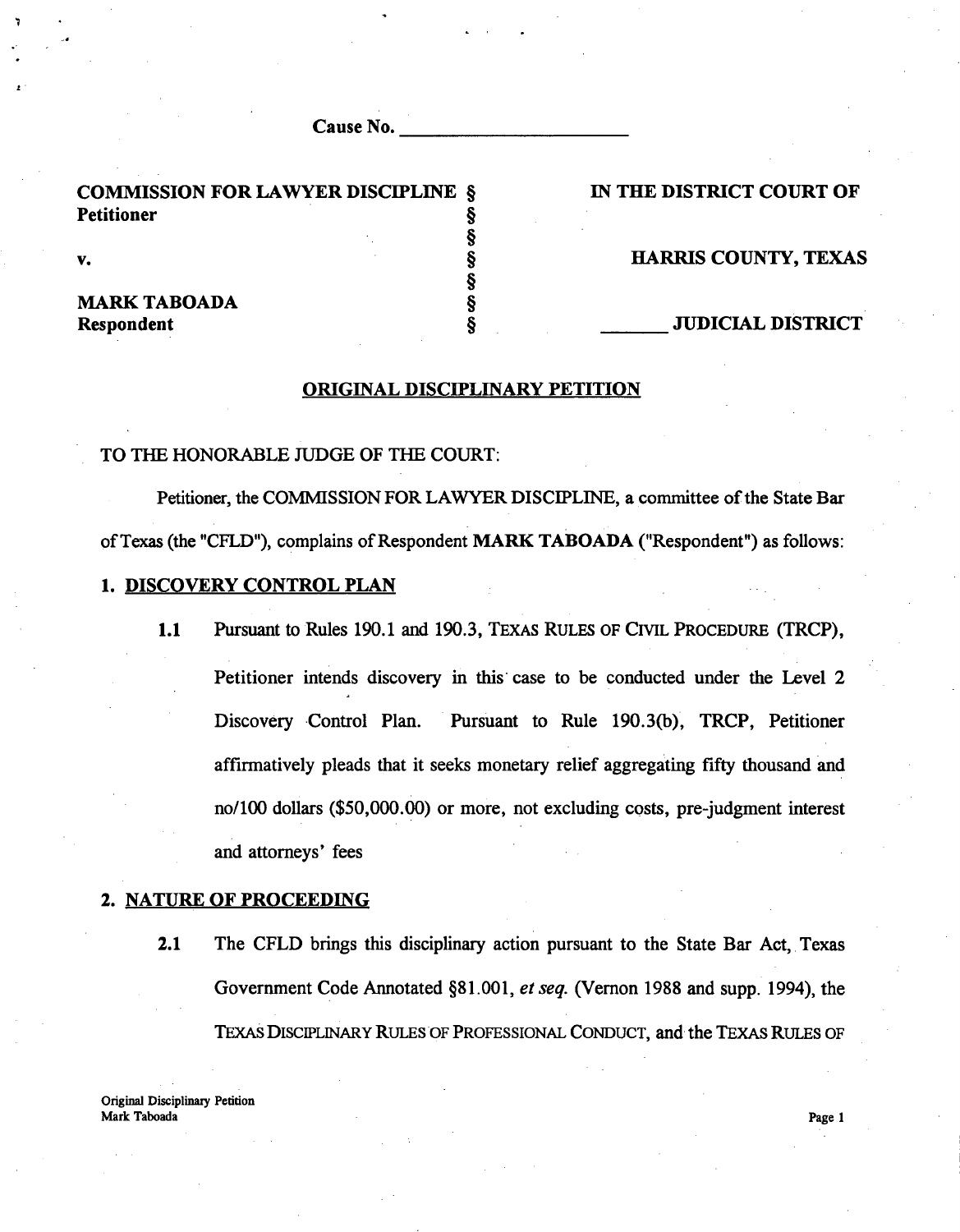| Cause No. | ---------<br> |
|-----------|---------------|
|           |               |

**§**

**§**

COMMISSION FOR LAWYER DISCIPLINE  $\S$  IN THE DISTRICT COURT OF **Petitioner §**

7

e

# MARK TABOADA §

#### v. Superior and the set of the set of the set of the set of the HARRIS COUNTY, TEXAS

**Respondent** § JUDICIAL DISTRICT

#### ORIGINAL DISCIPLINARY PETITION

#### TO THE HONORABLE JUDGE OF THE COURT:

Petitioner, the COMMSSION FOR LAWYER DISCIPLINE, a committee of the State Bar of Texas (the "CFLD"), complains of Respondent MARK TABOADA ("Respondent") as follows:

#### 1. DISCOVERY CONTROL PLAN

1.1 Pursuant to Rules 190.1 and 190.3, TEXAS RULES OF CIVIL PROCEDURE (TRCP), Petitioner intends discovery in this case to be conducted under the Level 2 Discovery Control Plan. Pursuant to Rule 190.3(b), TRCP, Petitioner affirmatively pleads that it seeks monetary relief aggregating fifty thousand and no/100 dollars (\$50,000.00) or more, not excluding costs, pre-judgment interest and attorneys' fees

#### 2. NATURE OF PROCEEDING

2.1 The CFLD brings this disciplinary action pursuant to the State Bar Act, Texas Government Code Annotated §81.001, *et seq.* (Vernon 1988 and supp. 1994), the TEXAS DISCIPLINARY RULES OF PROFESSIONAL CONDUCT, and the TEXAS RULES OF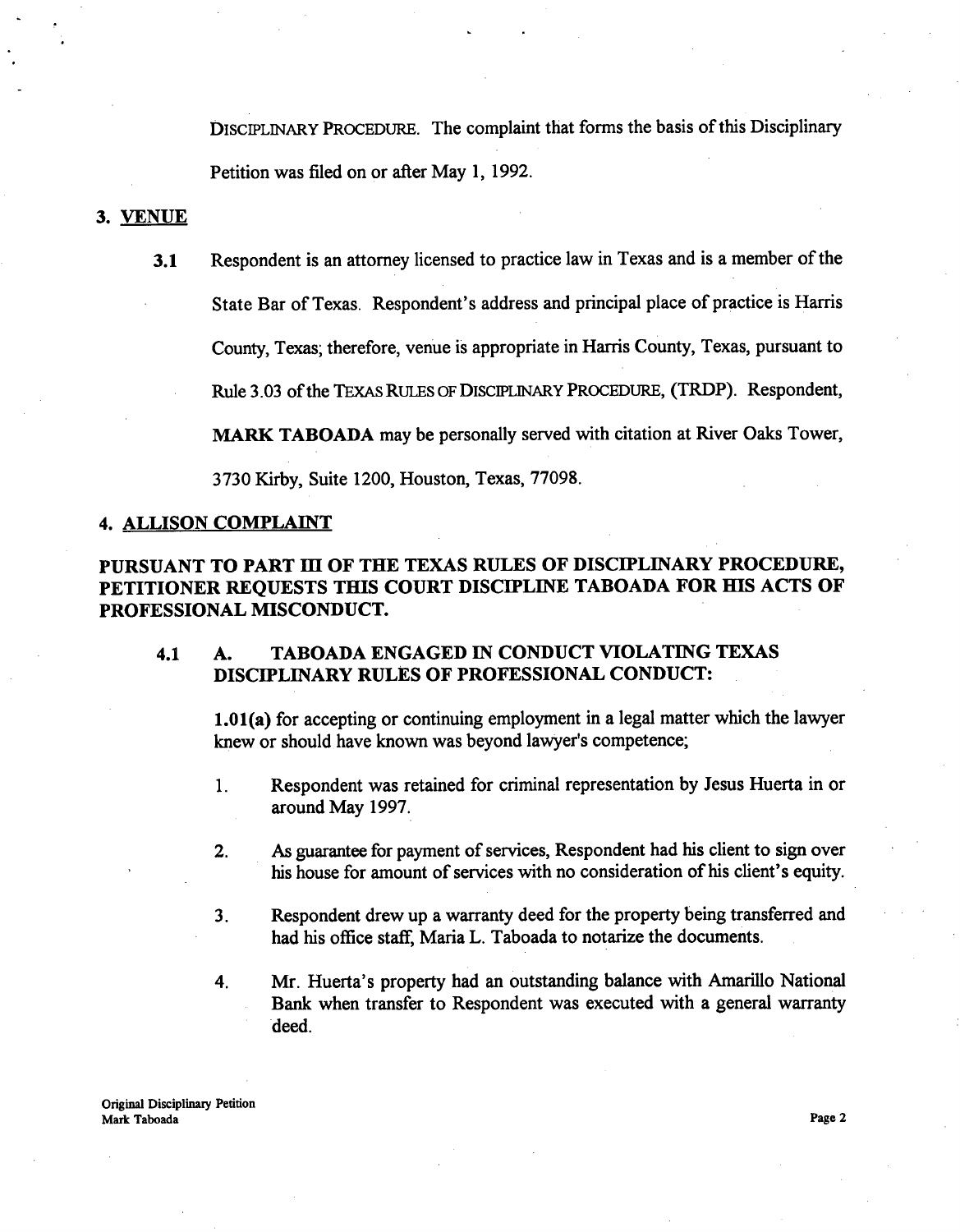DISCIPLINARY PROCEDURE. The complaint that forms the basis of this Disciplinary Petition was filed on or after May 1, 1992.

#### 3. VENUE

3.1 Respondent is an attorney licensed to practice law in Texas and is a member of the State Bar of Texas. Respondent's address and principal place of practice is Harris County, Texas; therefore, venue is appropriate in Harris County, Texas, pursuant to

Rule 3.03 of the TEXAS RULES OF DISCIPLINARY PROCEDURE, (TRDP). Respondent,

MARK TABOADA may be personally served with citation at River Oaks Tower,

3730 Kirby, Suite 1200, Houston, Texas, 77098.

#### 4. ALLISON COMPLAINT

#### PURSUANT TO PART III OF THE TEXAS RULES OF DISCIPLINARY PROCEDURE, PETITIONER REQUESTS THIS COURT DISCIPLINE TABOADA FOR HIS ACTS OF PROFESSIONAL MISCONDUCT.

#### 4.1 A. TABOADA ENGAGED IN CONDUCT VIOLATING TEXAS DISCIPLINARY RULES OF PROFESSIONAL CONDUCT:

1.01(a) for accepting or continuing employment in a legal matter which the lawyer knew or should have known was beyond lawyer's competence;

- 1. Respondent was retained for criminal representation by Jesus Huerta in or around May 1997.
- 2. As guarantee for payment of services, Respondent had his client to sign over his house for amount of services with no consideration of his client's equity.
- 3. Respondent drew up a warranty deed for the property being transferred and had his office staff, Maria L. Taboada to notarize the documents.
- 4. Mr. Huerta's property had an outstanding balance with Amarillo National Bank when transfer to Respondent was executed with a general warranty deed.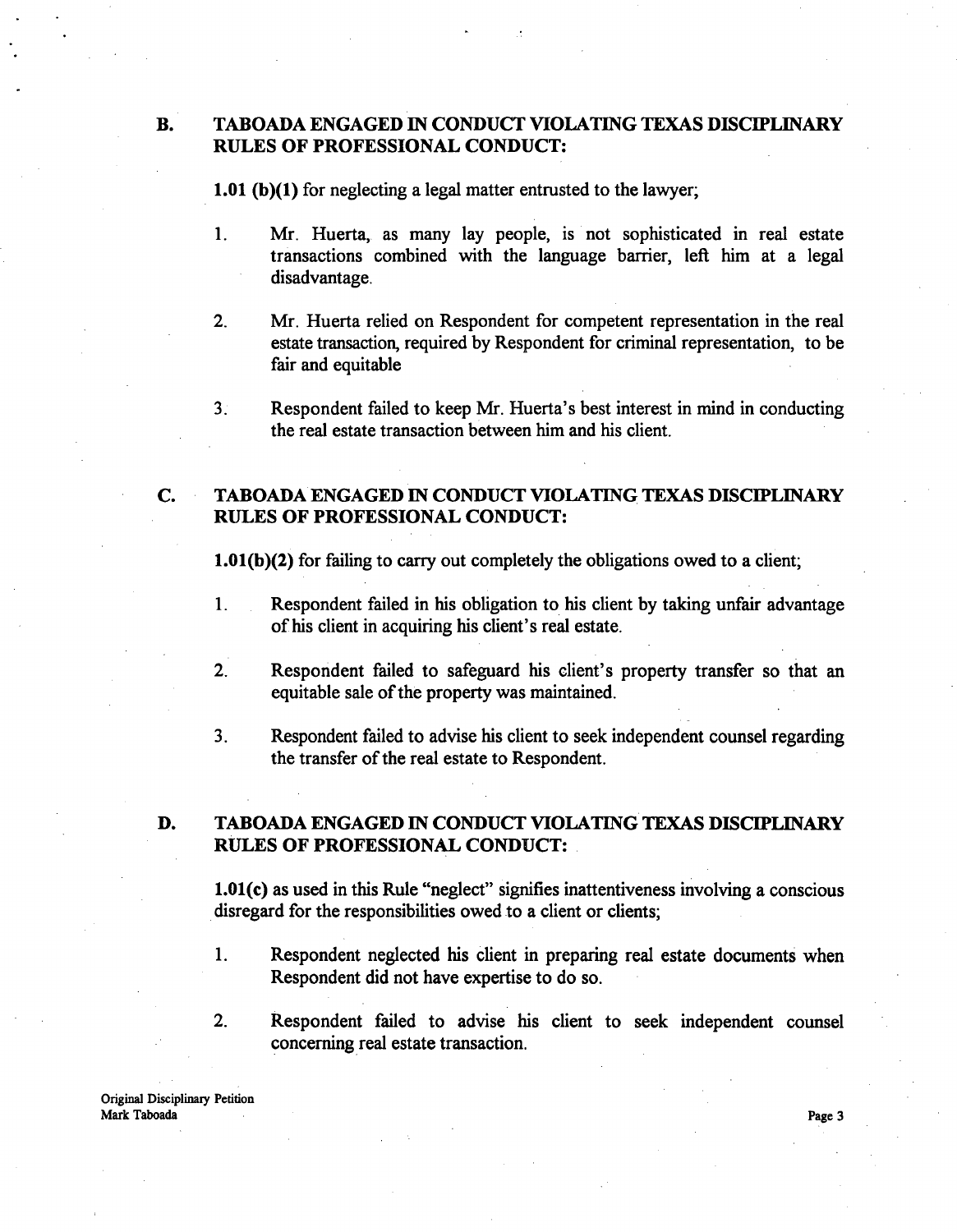#### B. TABOADA ENGAGED IN CONDUCT VIOLATING TEXAS DISCIPLINARY RULES OF PROFESSIONAL CONDUCT:

1.01 (b)(1) for neglecting a legal matter entrusted to the lawyer;

- 1. Mr. Huerta, as many lay people, is not sophisticated in real estate transactions combined with the language barrier, left him at a legal disadvantage.
- 2. Mr. Huerta relied on Respondent for competent representation in the real estate transaction, required by Respondent for criminal representation, to be fair and equitable
- 3. Respondent failed to keep Mr. Huerta's best interest in mind in conducting the real estate transaction between him and his client.

#### C. TABOADA ENGAGED IN CONDUCT VIOLATING TEXAS DISCIPLINARY RULES OF PROFESSIONAL CONDUCT:

1.01(b)(2) for failing to carry out completely the obligations owed to a client;

- 1. Respondent failed in his obligation to his client by taking unfair advantage of his client in acquiring his client's real estate.
- $2.$ **Respondent failed to safeguard his client's** property transfer **so that an** equitable **sale of the** property was **maintained.**
- 3. Respondent failed to advise his client to seek independent counsel regarding the transfer of the real estate to Respondent.

#### D. TABOADA ENGAGED IN CONDUCT VIOLATING TEXAS DISCIPLINARY RULES OF PROFESSIONAL CONDUCT:

1.01(c) as used in this Rule "neglect" signifies inattentiveness involving a conscious disregard for the responsibilities owed to a client or clients;

- 1. Respondent neglected his client in preparing real estate documents when Respondent did not have expertise to do so.
- 2. Respondent failed to advise his client to seek independent counsel concerning real estate transaction.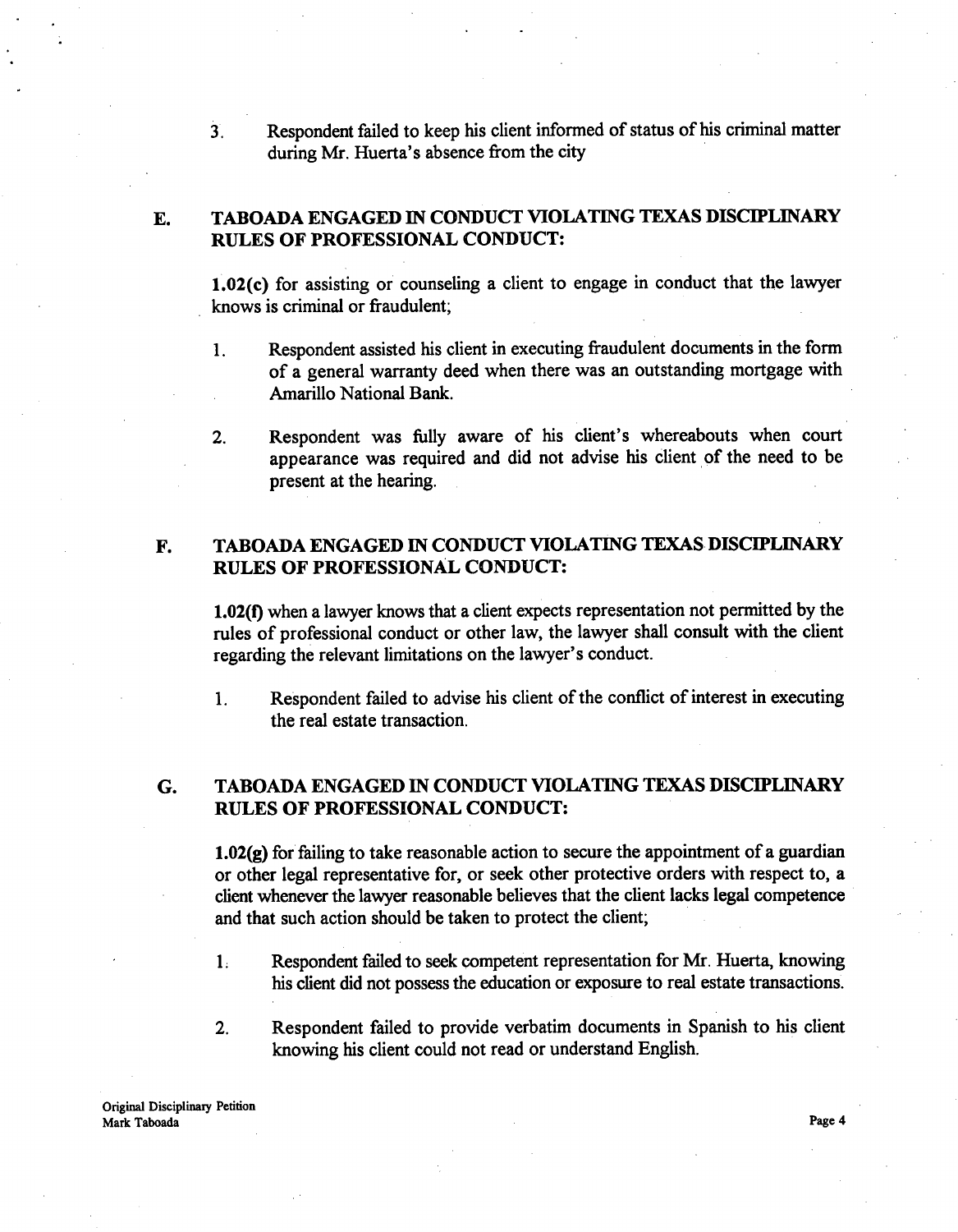$\overline{3}$ . Respondent failed to keep his client informed of status of his criminal matter during Mr. Huerta's absence from the city

#### E. TABOADA ENGAGED IN CONDUCT VIOLATING TEXAS DISCIPLINARY RULES OF PROFESSIONAL CONDUCT:

1.02(c) for assisting or counseling a client to engage in conduct that the lawyer knows is criminal or fraudulent;

- 1. Respondent assisted his client in executing fraudulent documents in the form of a general warranty deed when there was an outstanding mortgage with Amarillo National Bank.
- 2. Respondent was fully aware of his client's whereabouts when court appearance was required and did not advise his client of the need to be present at the hearing.

#### F. TABOADA ENGAGED IN CONDUCT VIOLATING TEXAS DISCIPLINARY RULES OF PROFESSIONAL CONDUCT:

1.02(f) when a lawyer knows that a client expects representation not permitted by the rules of professional conduct or other law, the lawyer shall consult with the client regarding the relevant limitations on the lawyer's conduct.

1. Respondent failed to advise his client of the conflict of interest in executing the real estate transaction.

#### G. TABOADA ENGAGED IN CONDUCT VIOLATING TEXAS DISCIPLINARY RULES OF PROFESSIONAL CONDUCT:

1.02(g) for failing to take reasonable action to secure the appointment of a guardian or other legal representative for, or seek other protective orders with respect to, a client whenever the lawyer reasonable believes that the client lacks legal competence and that such action should be taken to protect the client;

- 1: Respondent failed to seek competent representation for Mr. Huerta, knowing his client did not possess the education or exposure to real estate transactions.
- 2. Respondent failed to provide verbatim documents in Spanish to his client knowing his client could not read or understand English.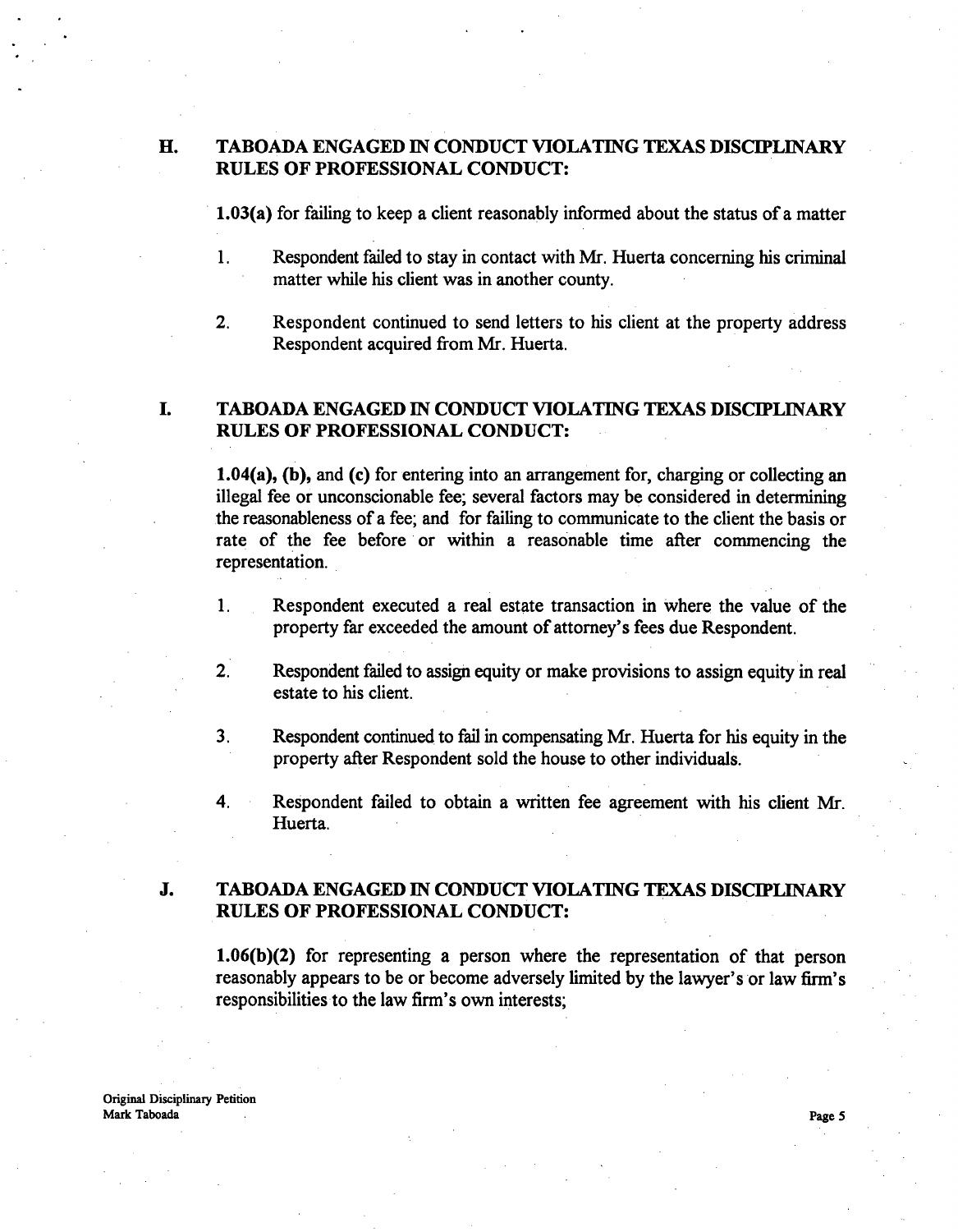#### H. TABOADA ENGAGED IN CONDUCT VIOLATING TEXAS DISCIPLINARY RULES OF PROFESSIONAL CONDUCT:

**1.03(a)** for failing to keep a client reasonably informed about the status of a matter

- 1. Respondent failed to stay in contact with Mr. Huerta concerning his criminal matter while his client was in another county.
- 2. Respondent continued to send letters to his client at the property address Respondent acquired from Mr. Huerta.

#### 1. TABOADA ENGAGED IN CONDUCT VIOLATING TEXAS DISCIPLINARY RULES OF PROFESSIONAL CONDUCT:

**1.04(a),** (b), and (c) for entering into an arrangement for, charging or collecting an illegal fee or unconscionable fee; several factors may be considered in determining .the reasonableness of a fee; and for failing to communicate to the client the basis or rate of the fee before or within a reasonable time after commencing the representation.

- 1. Respondent executed a real estate transaction in where the value of the property far exceeded the amount of attorney's fees due Respondent.
- $2.$ Respondent failed to assign equity or make provisions to assign equity in real estate to his client.
- 3. Respondent continued to fail in compensating Mr. Huerta for his equity in the property after Respondent sold the house to other individuals.
- 4. Respondent failed to obtain a written fee agreement with his client Mr. Huerta.

#### J. TABOADA ENGAGED IN CONDUCT VIOLATING TEXAS DISCIPLINARY RULES OF PROFESSIONAL CONDUCT:

1.06(b)(2) for representing a person where the representation of that person reasonably appears to be or become adversely limited by the lawyer's or law firm's responsibilities to the law firm's own interests;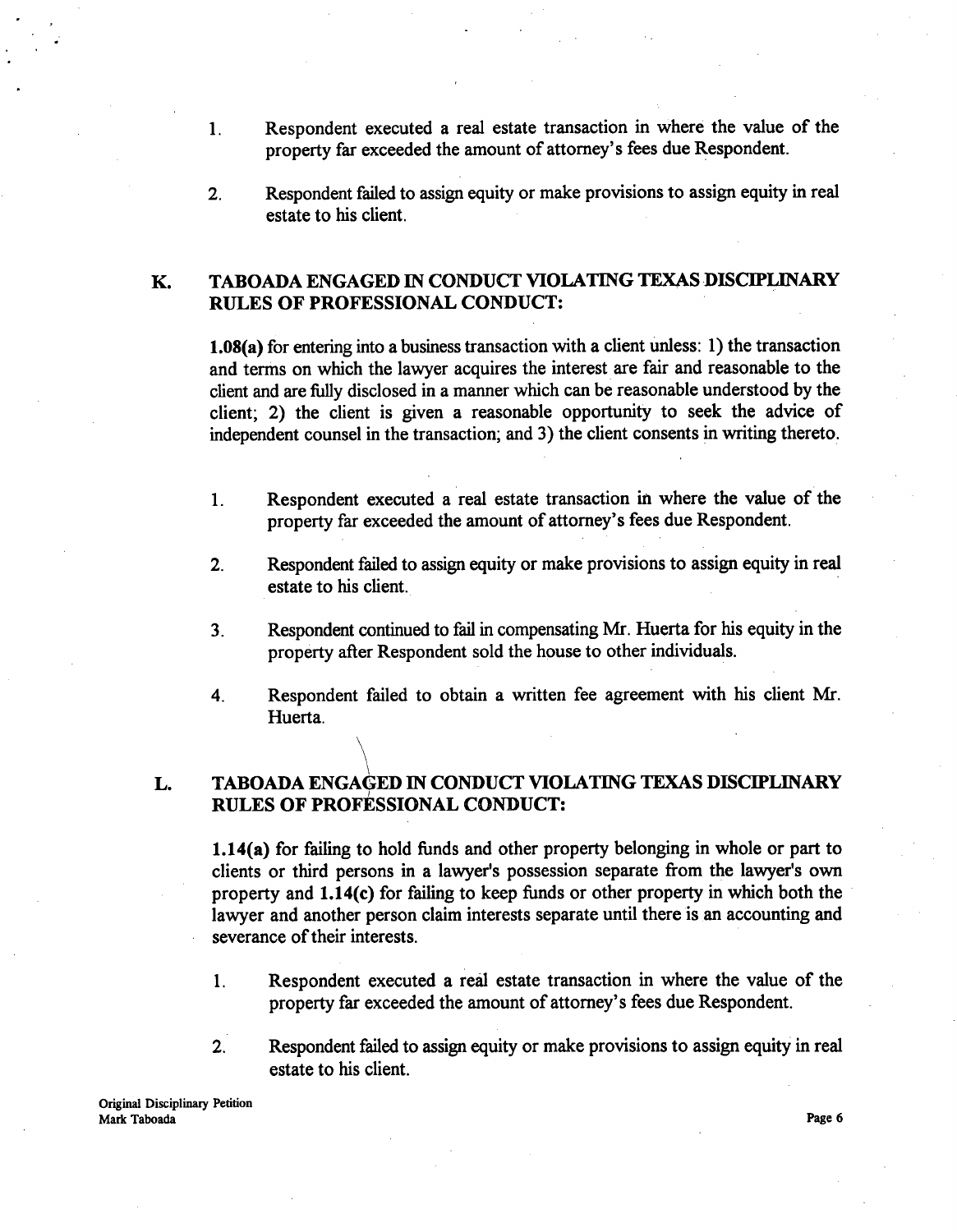- 1. Respondent executed a real estate transaction in where the value of the property far exceeded the amount of attorney's fees due Respondent.
- 2. Respondent failed to assign equity or make provisions to assign equity in real estate to his client.

#### K. TABOADA ENGAGED IN CONDUCT VIOLATING TEXAS DISCIPLINARY RULES OF PROFESSIONAL CONDUCT:

**1.08(a)** for entering into a business transaction with a client unless: 1) the transaction and terms on which the lawyer acquires the interest are fair and reasonable to the client and are fully disclosed in a manner which can be reasonable understood by the client; 2) the client is given a reasonable opportunity to seek the advice of independent counsel in the transaction; and 3) the client consents in writing thereto.

- 1. Respondent executed a real estate transaction in where the value of the property far exceeded the amount of attorney's fees due Respondent.
- 2. Respondent failed to assign equity or make provisions to assign equity in real estate to his client.
- 3. Respondent continued to fail in compensating Mr. Huerta for his equity in the property after Respondent sold the house to other individuals.
- 4. Respondent failed to obtain a written fee agreement with his client Mr. Huerta.

#### L. TABOADA ENGAGED IN CONDUCT VIOLATING TEXAS DISCIPLINARY RULES OF PROFESSIONAL CONDUCT:

1.14(a) for failing to hold funds and other property belonging in whole or part to clients or third persons in a lawyer's possession separate from the lawyer's own property and 1.14(c) for failing to keep funds or other property in which both the lawyer and another person claim interests separate until there is an accounting and severance of their interests.

- 1. Respondent executed a real estate transaction in where the value of the property far exceeded the amount of attorney's fees due Respondent.
- 2. Respondent failed to assign equity or make provisions to assign equity in real estate to his client.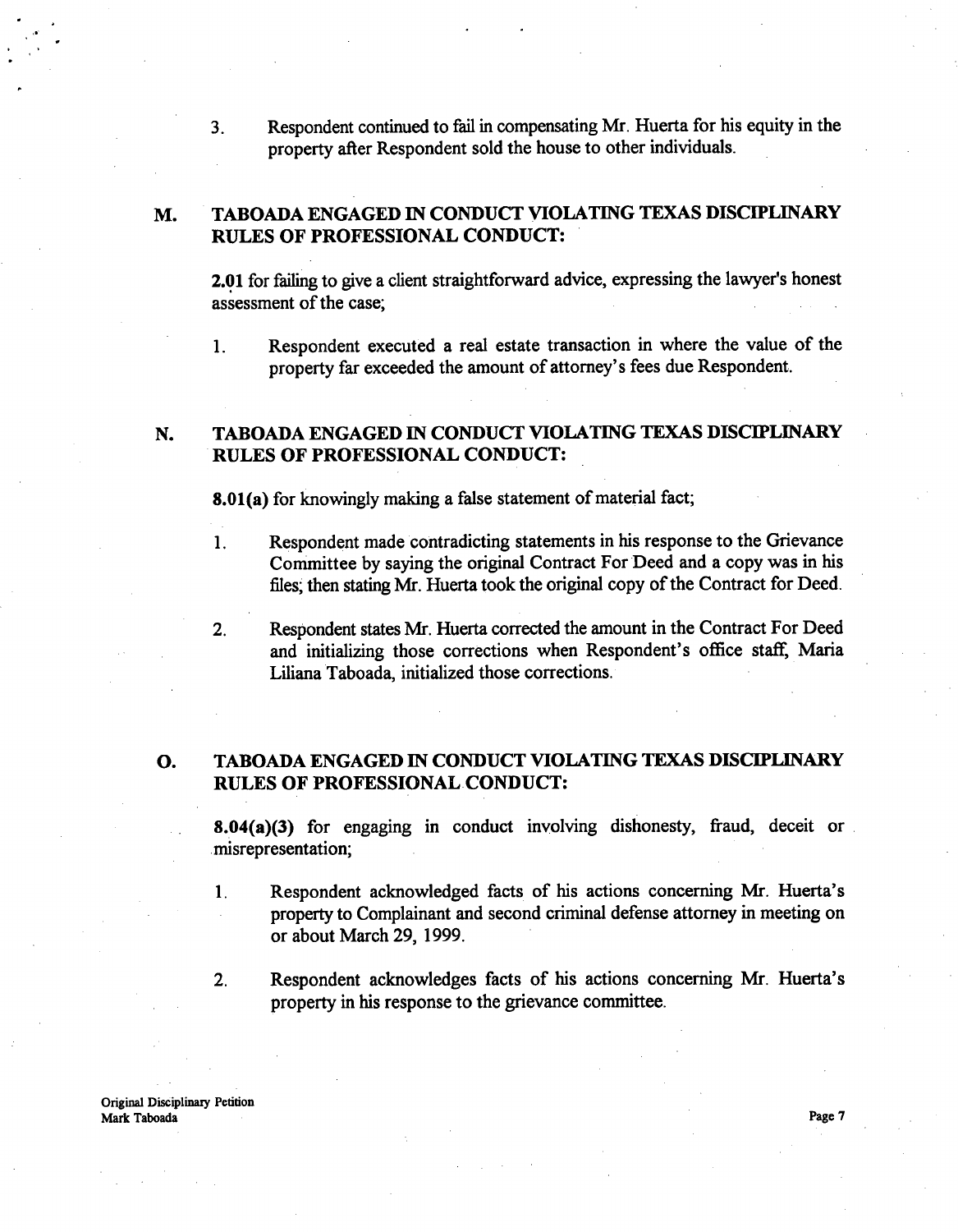3. Respondent continued to fail in compensating Mr. Huerta for his equity in the property after Respondent sold the house to other individuals.

#### M. TABOADA ENGAGED IN CONDUCT VIOLATING TEXAS DISCIPLINARY RULES OF PROFESSIONAL CONDUCT:

2.01 for failing to give a client straightforward advice, expressing the lawyer's honest assessment of the case;

1. Respondent executed a real estate transaction in where the value of the property far exceeded the amount of attorney's fees due Respondent.

#### N. TABOADA ENGAGED IN CONDUCT VIOLATING TEXAS DISCIPLINARY RULES OF PROFESSIONAL CONDUCT:

**8.01(a)** for knowingly making a false statement of material fact;

- 1. Respondent made contradicting statements in his response to the Grievance Committee by saying the original Contract For Deed and a copy was in his files; then stating Mr. Huerta took the original copy of the Contract for Deed.
- 2. Respondent states Mr. Huerta corrected the amount in the Contract For Deed and initializing those corrections when Respondent's office staff, Maria Liliana Taboada, initialized those corrections.

#### 0. TABOADA ENGAGED IN CONDUCT VIOLATING TEXAS DISCIPLINARY RULES OF PROFESSIONAL CONDUCT:

**8.04(a)(3)** for engaging in conduct involving dishonesty, fraud, deceit or misrepresentation;

- 1. Respondent acknowledged facts of his actions concerning Mr. Huerta's property to Complainant and second criminal defense attorney in meeting on or about March 29, 1999.
- 2. Respondent acknowledges facts of his **actions concerning** Mr. Huerta's property in **his response** to the grievance **committee.**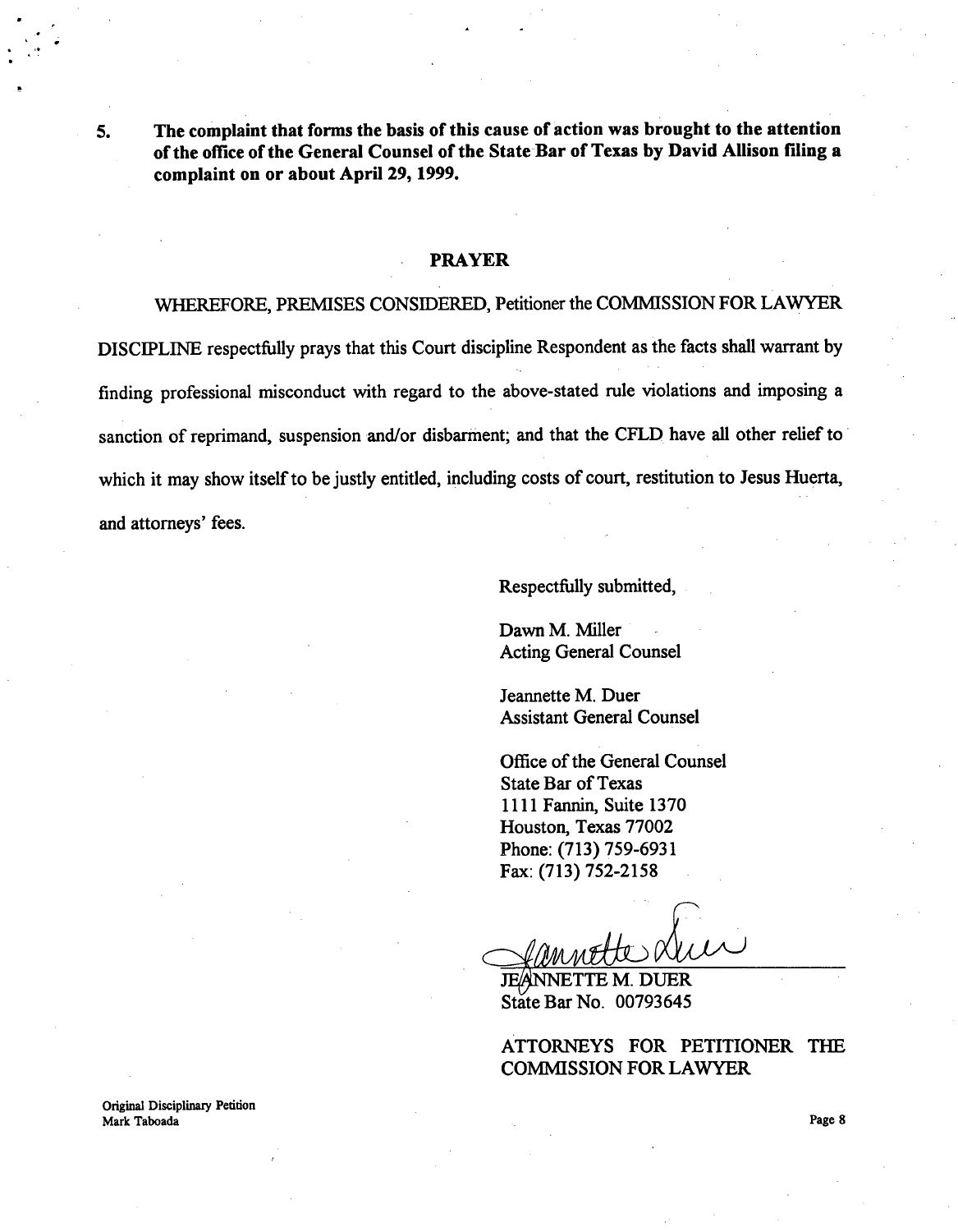The complaint that forms the basis of this cause of action was brought to the attention 5. of the office of the General Counsel of the State Bar of Texas by David Allison filing a complaint on or about Apri129, 1999.

#### **PRAYER**

WHEREFORE, PREMISES CONSIDERED, **Petitioner** the COMMISSION FOR LAWYER DISCIPLINE **respectfully** prays that this Court **discipline Respondent as the facts shall warrant by finding professional misconduct with regard to the above-stated rule violations and imposing a sanction of reprimand, suspension and/or disbarment; and that the** CFLD **have all other relief to** which it may **show itself to be justly entitled, including costs of court, restitution to Jesus Huerta, and attorneys' fees.**

Respectfully **submitted,**

Dawn M. Miller Acting General Counsel

Jeannette M. Duer Assistant General Counsel

Office of the General Counsel State Bar of Texas 1111 Fannin, Suite 1370 Houston, Texas 77002 Phone: (713) 759-6931 Fax: (713) 752-2158

**JEANNETTE M. DUER** State Bar No. 00793645

ATTORNEYS FOR PETITIONER THE COMMISSION FOR LAWYER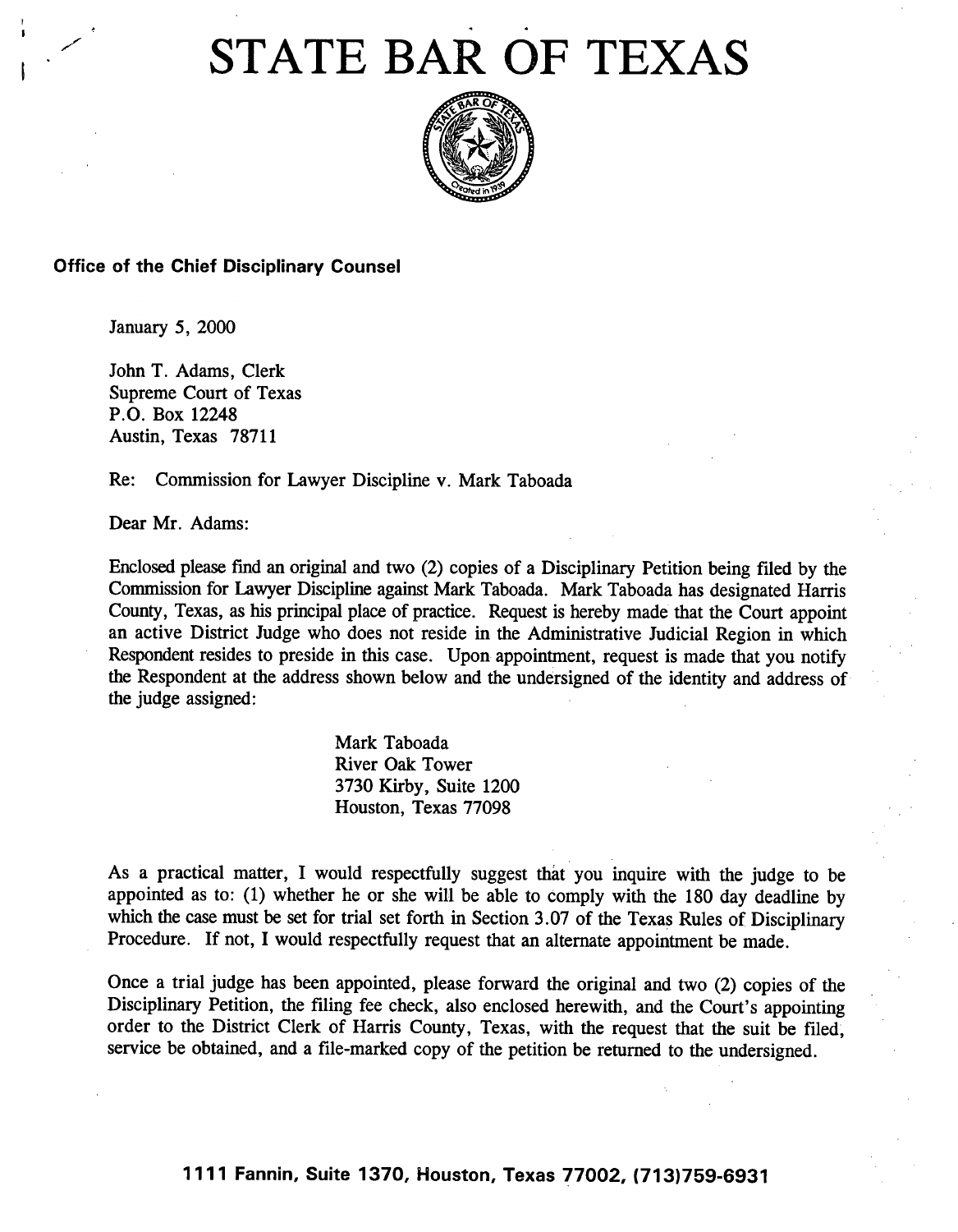# STATE BAR OF TEXAS



#### Office of the Chief **Disciplinary Counsel**

January 5, 2000

John T. Adams, Clerk Supreme Court of Texas P.O. Box 12248 Austin, Texas 78711

**Re: Commission** for Lawyer Discipline v. Mark Taboada

Dear Mr. Adams:

Enclosed please fmd an original and two (2) copies of a Disciplinary Petition being filed by the Commission for Lawyer Discipline against Mark Taboada. Mark Taboada has designated Harris County, Texas, as his principal place of practice. Request is hereby made that the Court appoint an active District Judge who does not reside in the Administrative Judicial Region in which Respondent resides to preside in this case. Upon appointment, request is made that you notify the Respondent at the address shown below and the undersigned of the identity and address of the judge assigned:

> Mark Taboada River Oak Tower 3730 Kirby, Suite 1200 Houston, Texas 77098

As a practical matter, I would respectfully suggest that you inquire with the judge to be appointed as to: (1) whether he or she will be able to comply with the 180 day deadline by which the case must be set for trial set forth in Section 3.07 of the Texas Rules of Disciplinary Procedure. If not, I would respectfully request that an alternate appointment be made.

Once a trial judge has been appointed, please forward the original and two (2) copies of the Disciplinary Petition, the filing fee check, also enclosed herewith, and the Court's appointing order to the District Clerk of Harris County, Texas, with the request that the suit be filed, service be obtained, and a file-marked copy of the petition be returned to the undersigned.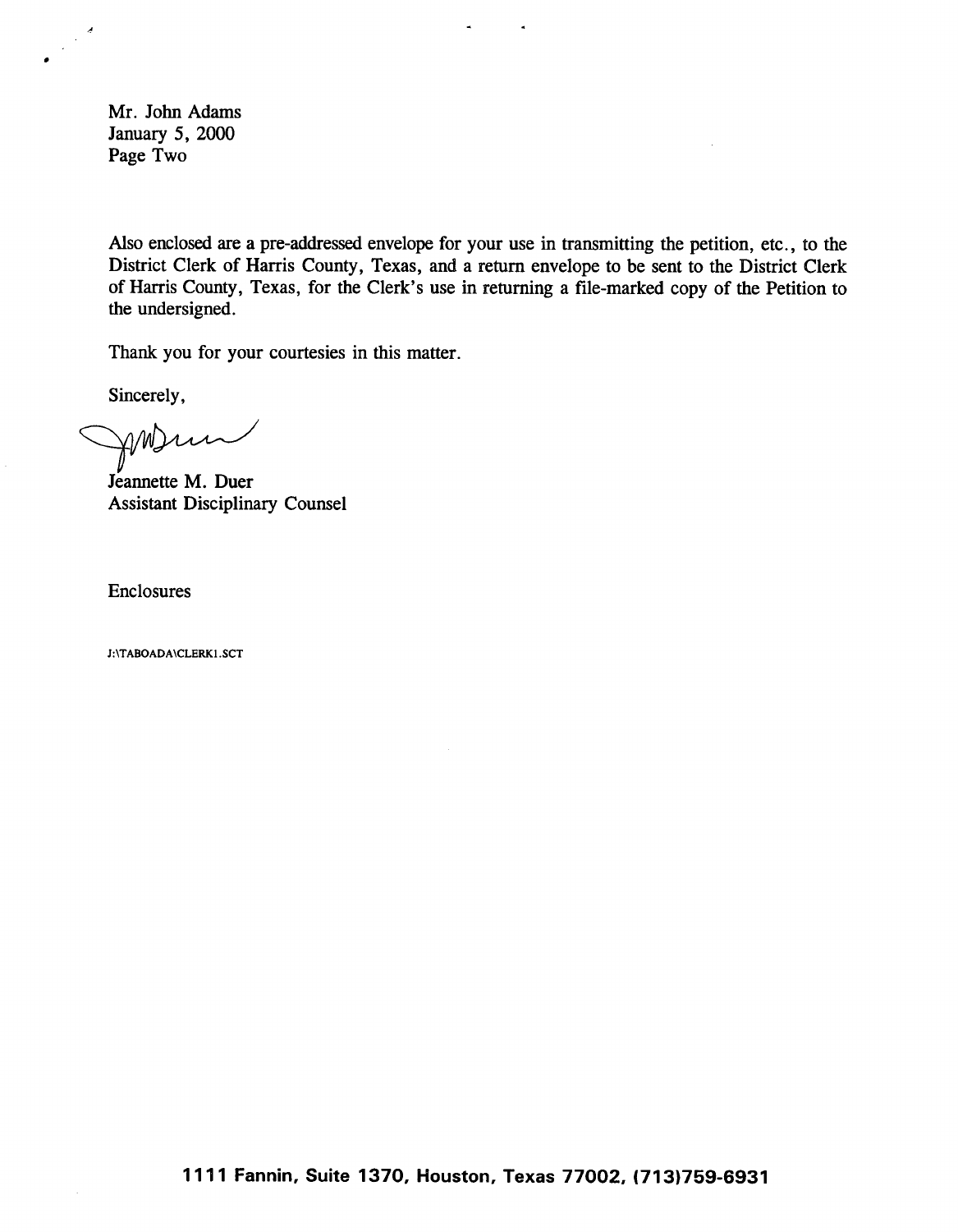Mr. John Adams January 5, 2000 Page Two

 $\frac{1}{2} \frac{d}{dt}$ 

Also enclosed are a pre-addressed envelope for your use in transmitting the petition, etc., to the District Clerk of Harris County, Texas, and a return envelope to be sent to the District Clerk of Harris County, Texas, for the Clerk's use in returning a file-marked copy of the Petition to the undersigned.

 $\Delta$ 

 $\bullet$ 

Thank you for your courtesies in this matter.

Sincerely,

AMSun

Jeannette M. Duer Assistant Disciplinary Counsel

Enclosures

J:\TABOADA\CLERKI.SCT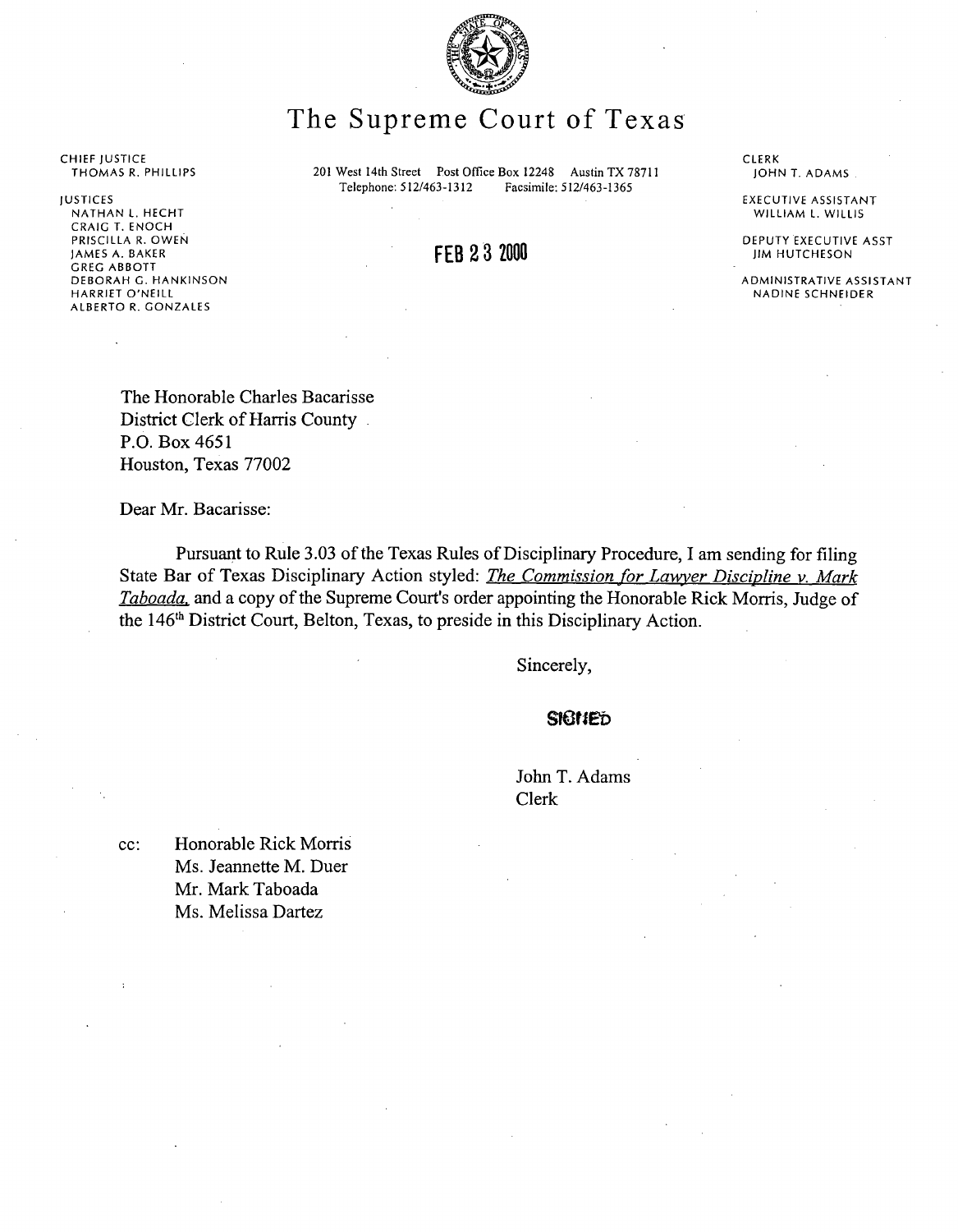

# The Supreme Court of Texas

**201 West 14th Street Post Office Box 12248 Austin** TX 78711 **Telephone: 512/463-1312 Facsimile: 512/463-1365**

FEB 23 2000

**CLERK** JOHN T. ADAMS

EXECUTIVE ASSISTANT WILLIAM L. WILLIS

DEPUTY EXECUTIVE ASST JIM HUTCHESON

ADMINISTRATIVE ASSISTANT NADINE SCHNEIDER

CHIEF JUSTICE THOMAS R. PHILLIPS

JUSTICES NATHAN L. HECHT CRAIG T. ENOCH PRISCILLA R. OWEN JAMES A. BAKER GREG ABBOTT DEBORAH G. HANKINSON HARRIET O'NEILL ALBERTO R. GONZALES

> The Honorable Charles Bacarisse District Clerk of Harris County P.O. Box 4651 Houston, Texas 77002

Dear Mr. Bacarisse:

Pursuant to Rule 3.03 of the Texas Rules of Disciplinary Procedure, I am sending for filing State Bar of Texas Disciplinary Action styled: *The Commission for Lawyer Discipline v. Mark Taboada.* and a copy of the Supreme Court's order appointing the Honorable Rick Morris, Judge of the 146<sup>th</sup> District Court, Belton, Texas, to preside in this Disciplinary Action.

**Sincerely,**

**slatlep**

John T. Adams Clerk

cc: Honorable Rick Morris Ms. Jeannette M. Duer Mr. Mark Taboada Ms. Melissa Dartez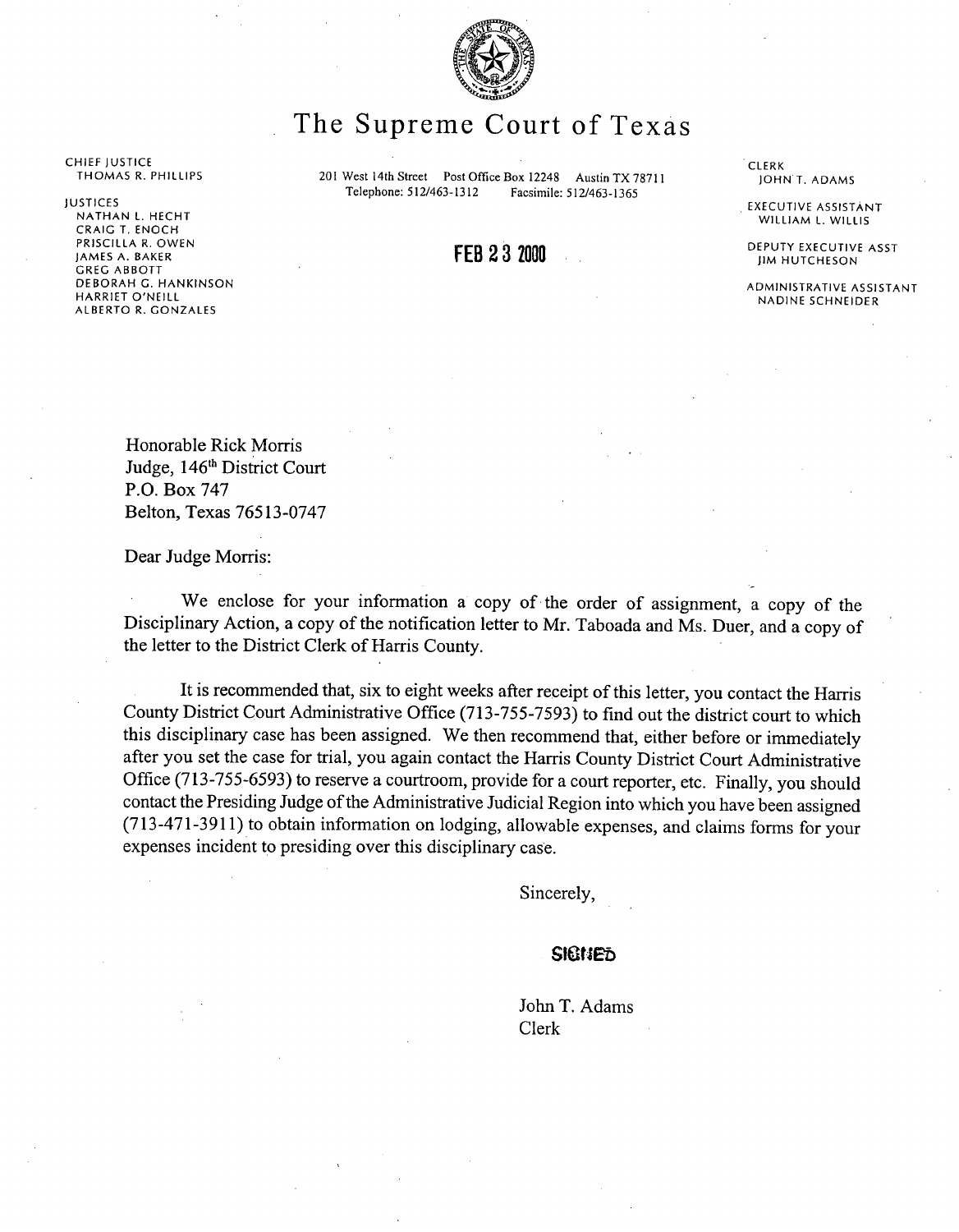

## The Supreme Court of Texas

CHIEF JUSTICE THOMAS R. PHILLIPS

JUSTICES

NATHAN L. HECHT CRAIG T. ENOCH PRISCILLA R. OWEN JAMES A. BAKER GREG ABBOTT DEBORAH G. HANKINSON HARRIET O'NEILL ALBERTO R. GONZALES

201 West 14th Street Post Office Box 12248 Austin TX 78711<br>Telephone: 512/463-1312 Facsimile: 512/463-1365 Telephone: 512/463-1312

#### FEB 2 3 2000

CLERK<br>JOHN T. ADAMS

EXECUTIVE ASSISTANT WILLIAM L. WILLIS

DEPUTY EXECUTIVE ASST JIM HUTCHESON

ADMINISTRATIVE ASSISTANT NADINE SCHNEIDER

Honorable Rick Morris Judge, 146th District Court P.O. Box 747 Belton, Texas 76513-0747

Dear Judge Morris:

We enclose for your information a copy of the order of assignment, a copy of the Disciplinary Action, a copy of the notification letter to Mr. Taboada and Ms. Duer, and a copy of the letter to the District Clerk of Harris County.

**It is recommended that, six to eight weeks after receipt of this letter, you contact the Harris** County **District Court Administrative** Office (713-755-7593) **to find out the district court to which this disciplinary case has been assigned. We then recommend that, either before or immediately** after you **set the case for trial, you again contact the Harris County District Court Administrative** Office (713-755-6593) **to reserve a courtroom, provide for a court reporter, etc. Finally, you should contact the Presiding Judge of the Administrative Judicial Region into which you have been assigned** (713-471-3911) **to obtain information on lodging, allowable expenses, and claims forms** for your **expenses incident to presiding over this disciplinary case.**

Sincerely,

#### **^lEit^t;D**

John T. Adams Clerk